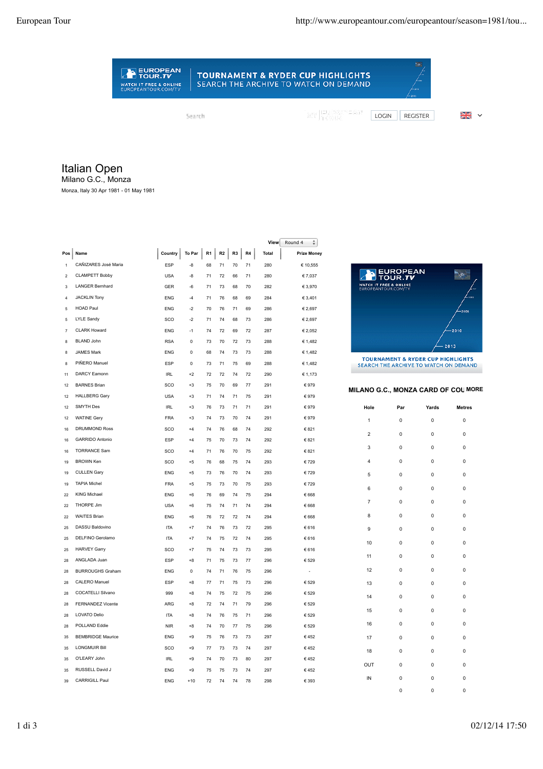## **TOURNAMENT & RYDER CUP HIGHLIGHTS** SEARCH THE ARCHIVE TO WATCH ON DEMAND

 $\overline{a}$ 

 $\overline{\phantom{a}}$ 

Search

EUROPEAN

WATCH IT FREE & ONLINE<br>EUROPEANTOUR.COM/TV

MY EUROPEAIN<br>MY FROUR

LOGIN REGISTER 2

## Italian Open

Milano G.C., Monza

Monza, Italy 30 Apr 1981 - 01 May 1981

|                         |                          |            |          |    |    |    |    | View         | Round 4<br>÷       |
|-------------------------|--------------------------|------------|----------|----|----|----|----|--------------|--------------------|
| Pos                     | Name                     | Country    | To Par   | R1 | R2 | R3 | R4 | <b>Total</b> | <b>Prize Money</b> |
| $\mathbf{1}$            | CAÑIZARES José Maria     | ESP        | -8       | 68 | 71 | 70 | 71 | 280          | € 10,555           |
| $\overline{\mathbf{c}}$ | <b>CLAMPETT Bobby</b>    | <b>USA</b> | -8       | 71 | 72 | 66 | 71 | 280          | € 7,037            |
| 3                       | LANGER Bernhard          | <b>GER</b> | -6       | 71 | 73 | 68 | 70 | 282          | € 3,970            |
| $\overline{4}$          | <b>JACKLIN Tony</b>      | <b>FNG</b> | $-4$     | 71 | 76 | 68 | 69 | 284          | € 3,401            |
| 5                       | <b>HOAD Paul</b>         | <b>ENG</b> | $-2$     | 70 | 76 | 71 | 69 | 286          | € 2,697            |
| 5                       | <b>LYLE Sandy</b>        | SCO        | $-2$     | 71 | 74 | 68 | 73 | 286          | € 2,697            |
| $\overline{7}$          | <b>CLARK Howard</b>      | <b>FNG</b> | $-1$     | 74 | 72 | 69 | 72 | 287          | € 2,052            |
| 8                       | <b>BLAND John</b>        | <b>RSA</b> | 0        | 73 | 70 | 72 | 73 | 288          | € 1,482            |
| 8                       | <b>JAMES Mark</b>        | <b>ENG</b> | 0        | 68 | 74 | 73 | 73 | 288          | € 1,482            |
| 8                       | PIÑERO Manuel            | ESP        | 0        | 73 | 71 | 75 | 69 | 288          | € 1,482            |
| 11                      | <b>DARCY Eamonn</b>      | <b>IRL</b> | $+2$     | 72 | 72 | 74 | 72 | 290          | € 1,173            |
| 12                      | <b>BARNES Brian</b>      | SCO        | $+3$     | 75 | 70 | 69 | 77 | 291          | € 979              |
| 12                      | <b>HALLBERG Gary</b>     | <b>USA</b> | $+3$     | 71 | 74 | 71 | 75 | 291          | € 979              |
| 12                      | <b>SMYTH Des</b>         | <b>IRL</b> | $+3$     | 76 | 73 | 71 | 71 | 291          | € 979              |
| 12                      | <b>WATINE Gery</b>       | <b>FRA</b> | $+3$     | 74 | 73 | 70 | 74 | 291          | € 979              |
| 16                      | DRUMMOND Ross            | SCO        | $+4$     | 74 | 76 | 68 | 74 | 292          | € 821              |
| 16                      | <b>GARRIDO Antonio</b>   | ESP        | $+4$     | 75 | 70 | 73 | 74 | 292          | € 821              |
| 16                      | <b>TORRANCE Sam</b>      | SCO        | $+4$     | 71 | 76 | 70 | 75 | 292          | € 821              |
| 19                      | <b>BROWN Ken</b>         | SCO        | $+5$     | 76 | 68 | 75 | 74 | 293          | €729               |
| 19                      | <b>CULLEN Gary</b>       | ENG        | $+5$     | 73 | 76 | 70 | 74 | 293          | €729               |
| 19                      | <b>TAPIA Michel</b>      | <b>FRA</b> | $+5$     | 75 | 73 | 70 | 75 | 293          | €729               |
| 22                      | KING Michael             | <b>ENG</b> | $+6$     | 76 | 69 | 74 | 75 | 294          | € 668              |
| 22                      | THORPE Jim               | <b>USA</b> | $+6$     | 75 | 74 | 71 | 74 | 294          | € 668              |
| 22                      | <b>WAITES Brian</b>      | <b>ENG</b> | $+6$     | 76 | 72 | 72 | 74 | 294          | € 668              |
| 25                      | <b>DASSU Baldovino</b>   | <b>ITA</b> | $+7$     | 74 | 76 | 73 | 72 | 295          | €616               |
| 25                      | DELFINO Gerolamo         | <b>ITA</b> | $+7$     | 74 | 75 | 72 | 74 | 295          | € 616              |
| 25                      | <b>HARVEY Garry</b>      | SCO        | $+7$     | 75 | 74 | 73 | 73 | 295          | €616               |
| 28                      | ANGLADA Juan             | <b>ESP</b> | $+8$     | 71 | 75 | 73 | 77 | 296          | € 529              |
| 28                      | <b>BURROUGHS Graham</b>  | <b>FNG</b> | $\Omega$ | 74 | 71 | 76 | 75 | 296          |                    |
| 28                      | CALERO Manuel            | ESP        | $+8$     | 77 | 71 | 75 | 73 | 296          | € 529              |
| 28                      | <b>COCATELLI Silvano</b> | 999        | $+8$     | 74 | 75 | 72 | 75 | 296          | € 529              |
| 28                      | FERNANDEZ Vicente        | ARG        | $+8$     | 72 | 74 | 71 | 79 | 296          | € 529              |
| 28                      | LOVATO Delio             | <b>ITA</b> | $+8$     | 74 | 76 | 75 | 71 | 296          | € 529              |
| 28                      | POLLAND Eddie            | <b>NIR</b> | $+8$     | 74 | 70 | 77 | 75 | 296          | € 529              |
| 35                      | <b>BEMBRIDGE Maurice</b> | <b>ENG</b> | $+9$     | 75 | 76 | 73 | 73 | 297          | €452               |
| 35                      | <b>LONGMUIR Bill</b>     | SCO        | $+9$     | 77 | 73 | 73 | 74 | 297          | €452               |
| 35                      | O'LEARY John             | <b>IRL</b> | $+9$     | 74 | 70 | 73 | 80 | 297          | €452               |
| 35                      | RUSSELL David J          | <b>FNG</b> | $+9$     | 75 | 75 | 73 | 74 | 297          | €452               |
| 39                      | <b>CARRIGILL Paul</b>    | <b>FNG</b> | $+10$    | 72 | 74 | 74 | 78 | 298          | € 393              |
|                         |                          |            |          |    |    |    |    |              |                    |



SEARCH THE ARCHIVE TO WATCH ON DEMAND

## **MILANO G.C., MONZA CARD OF COL MORE**

| Hole           | Par            | Yards | <b>Metres</b> |
|----------------|----------------|-------|---------------|
| $\mathbf{1}$   | 0              | 0     | 0             |
| $\overline{2}$ | 0              | 0     | 0             |
| 3              | 0              | 0     | 0             |
| 4              | $\overline{0}$ | 0     | 0             |
| 5              | 0              | 0     | 0             |
| 6              | 0              | 0     | 0             |
| $\overline{7}$ | 0              | 0     | 0             |
| 8              | 0              | 0     | 0             |
| 9              | 0              | 0     | 0             |
| 10             | 0              | 0     | 0             |
| 11             | 0              | 0     | 0             |
| 12             | 0              | 0     | 0             |
| 13             | 0              | 0     | 0             |
| 14             | $\mathbf{0}$   | 0     | 0             |
| 15             | 0              | 0     | 0             |
| 16             | 0              | 0     | 0             |
| 17             | 0              | 0     | 0             |
| 18             | 0              | 0     | 0             |
| OUT            | 0              | 0     | 0             |
| IN             | 0              | 0     | 0             |

0 0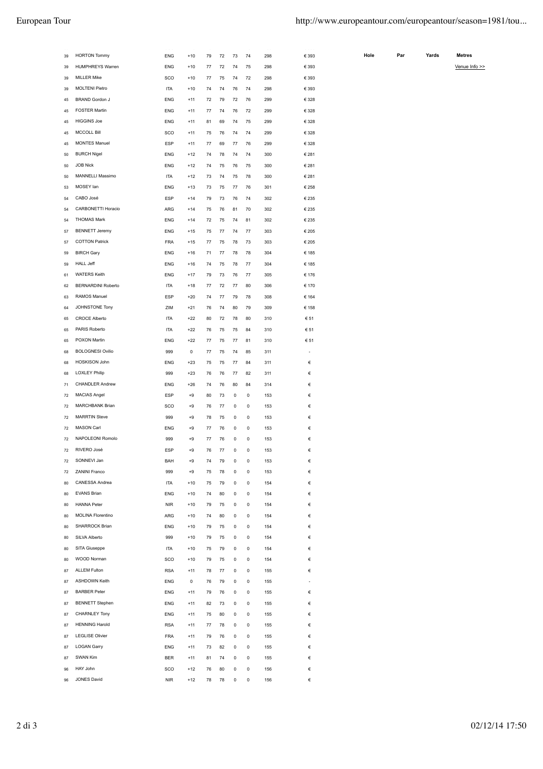| 39                   | <b>HORTON Tommy</b>       | <b>ENG</b> | $+10$ | 79 | 72 | 73 | 74 | 298 | € 393     |
|----------------------|---------------------------|------------|-------|----|----|----|----|-----|-----------|
| 39                   | <b>HUMPHREYS Warren</b>   | <b>ENG</b> | $+10$ | 77 | 72 | 74 | 75 | 298 | € 393     |
| 39                   | <b>MILLER Mike</b>        | SCO        | $+10$ | 77 | 75 | 74 | 72 | 298 | € 393     |
| 39                   | <b>MOLTENI Pietro</b>     | <b>ITA</b> | $+10$ | 74 | 74 | 76 | 74 | 298 | € 393     |
| 45                   | <b>BRAND Gordon J</b>     | <b>ENG</b> | $+11$ | 72 | 79 | 72 | 76 | 299 | € 328     |
| 45                   | <b>FOSTER Martin</b>      | <b>ENG</b> | $+11$ | 77 | 74 | 76 | 72 | 299 | € 328     |
| 45                   | <b>HIGGINS Joe</b>        | <b>ENG</b> | $+11$ | 81 | 69 | 74 | 75 | 299 | € 328     |
| 45                   | <b>MCCOLL Bill</b>        | SCO        | $+11$ | 75 | 76 | 74 | 74 | 299 | € 328     |
| 45                   | <b>MONTES Manuel</b>      | <b>ESP</b> | $+11$ | 77 | 69 | 77 | 76 | 299 | € 328     |
| 50                   | <b>BURCH Nigel</b>        | <b>ENG</b> | $+12$ | 74 | 78 | 74 | 74 | 300 | € 281     |
| 50                   | <b>JOB Nick</b>           | <b>ENG</b> | $+12$ | 74 | 75 | 76 | 75 | 300 | € 281     |
| 50                   | MANNELLI Massimo          | <b>ITA</b> | $+12$ | 73 | 74 | 75 | 78 | 300 | € 281     |
| 53                   | MOSEY lan                 | <b>ENG</b> | $+13$ | 73 | 75 | 77 | 76 | 301 | € 258     |
| 54                   | CABO José                 | ESP        | $+14$ | 79 | 73 | 76 | 74 | 302 | € 235     |
| 54                   | CARBONETTI Horacio        | ARG        | $+14$ | 75 | 76 | 81 | 70 | 302 | € 235     |
| 54                   | <b>THOMAS Mark</b>        | <b>ENG</b> | $+14$ | 72 | 75 | 74 | 81 | 302 | € 235     |
| 57                   | <b>BENNETT Jeremy</b>     | <b>ENG</b> | $+15$ | 75 | 77 | 74 | 77 | 303 | € 205     |
| 57                   | <b>COTTON Patrick</b>     | <b>FRA</b> | $+15$ | 77 | 75 | 78 | 73 | 303 | € 205     |
| 59                   | <b>BIRCH Gary</b>         | <b>ENG</b> | $+16$ | 71 | 77 | 78 | 78 | 304 | € 185     |
| 59                   | <b>HALL Jeff</b>          | <b>ENG</b> | $+16$ | 74 | 75 | 78 | 77 | 304 | € 185     |
| 61                   | <b>WATERS Keith</b>       | <b>ENG</b> | $+17$ | 79 | 73 | 76 | 77 | 305 | € 176     |
| 62                   | <b>BERNARDINI Roberto</b> | <b>ITA</b> | $+18$ | 77 | 72 | 77 | 80 | 306 | € 170     |
| 63                   | RAMOS Manuel              | ESP        | $+20$ | 74 | 77 | 79 | 78 | 308 | € 164     |
| 64                   | JOHNSTONE Tony            | ZIM        | $+21$ | 76 | 74 | 80 | 79 | 309 | € 158     |
| 65                   | <b>CROCE Alberto</b>      | <b>ITA</b> | $+22$ | 80 | 72 | 78 | 80 | 310 | € 51      |
| 65                   | PARIS Roberto             | <b>ITA</b> | $+22$ | 76 | 75 | 75 | 84 | 310 | € 51      |
| 65                   | POXON Martin              | <b>ENG</b> | $+22$ | 77 | 75 | 77 | 81 | 310 | € 51      |
| 68                   | <b>BOLOGNESI Ovilio</b>   | 999        | 0     | 77 | 75 | 74 | 85 | 311 |           |
|                      |                           |            |       |    |    |    |    |     |           |
| 68                   | HOSKISON John             | <b>ENG</b> | $+23$ | 75 | 75 | 77 | 84 | 311 | €         |
| 68                   | <b>LOXLEY Philip</b>      | 999        | $+23$ | 76 | 76 | 77 | 82 | 311 | €         |
| 71                   | <b>CHANDLER Andrew</b>    | <b>ENG</b> | $+26$ | 74 | 76 | 80 | 84 | 314 | €         |
| 72                   | <b>MACIAS Angel</b>       | ESP        | $+9$  | 80 | 73 | 0  | 0  | 153 | €         |
| 72                   | MARCHBANK Brian           | SCO        | $+9$  | 76 | 77 | 0  | 0  | 153 | €         |
| 72                   | <b>MARRTIN Steve</b>      | 999        | $+9$  | 78 | 75 | 0  | 0  | 153 | €         |
| 72                   | MASON Carl                | <b>ENG</b> | $+9$  | 77 | 76 | 0  | 0  | 153 | €         |
| 72                   | NAPOLEONI Romolo          | 999        | $+9$  | 77 | 76 | 0  | 0  | 153 | €         |
| 72                   | RIVERO José               | ESP        | $+9$  | 76 | 77 | 0  | 0  | 153 | €         |
| 72                   | SONNEVI Jan               | BAH        | $+9$  | 74 | 79 | 0  | 0  | 153 | €         |
| 72                   | ZANINI Franco             | 999        | $+9$  | 75 | 78 | 0  | 0  | 153 | €         |
| 80                   | CANESSA Andrea            | <b>ITA</b> | $+10$ | 75 | 79 | 0  | 0  | 154 | €         |
| 80                   | <b>EVANS Brian</b>        | ENG        | $+10$ | 74 | 80 | 0  | 0  | 154 | €         |
| 80                   | <b>HANNA Peter</b>        | <b>NIR</b> | $+10$ | 79 | 75 | 0  | 0  | 154 | €         |
| 80                   | <b>MOLINA Florentino</b>  | <b>ARG</b> | $+10$ | 74 | 80 | 0  | 0  | 154 | €         |
| 80                   | SHARROCK Brian            | <b>ENG</b> | $+10$ | 79 | 75 | 0  | 0  | 154 | €         |
| 80                   | SILVA Alberto             | 999        | $+10$ | 79 | 75 | 0  | 0  | 154 | €         |
| 80                   | SITA Giuseppe             | <b>ITA</b> | $+10$ | 75 | 79 | 0  | 0  | 154 | €         |
| 80                   | WOOD Norman               | SCO        | $+10$ | 79 | 75 | 0  | 0  | 154 | €         |
|                      | <b>ALLEM Fulton</b>       | <b>RSA</b> | $+11$ | 78 | 77 | 0  | 0  | 155 | €         |
| 87<br>87             | <b>ASHDOWN Keith</b>      | ENG        | 0     | 76 | 79 | 0  | 0  | 155 | $\bar{a}$ |
|                      | <b>BARBER Peter</b>       | ENG        | $+11$ | 79 | 76 | 0  | 0  | 155 | €         |
|                      | <b>BENNETT Stephen</b>    | ENG        | $+11$ | 82 | 73 | 0  | 0  | 155 | €         |
| 87<br>87<br>87       | <b>CHARNLEY Tony</b>      | ENG        | $+11$ | 75 | 80 | 0  | 0  | 155 | €         |
|                      | <b>HENNING Harold</b>     | <b>RSA</b> | $+11$ | 77 | 78 | 0  | 0  | 155 | €         |
|                      | <b>LEGLISE Olivier</b>    | <b>FRA</b> | $+11$ | 79 | 76 | 0  | 0  | 155 | €         |
|                      | <b>LOGAN Garry</b>        | ENG        | $+11$ | 73 | 82 | 0  | 0  | 155 | €         |
| 87<br>87<br>87<br>87 | SWAN Kim                  | <b>BER</b> | $+11$ | 81 | 74 | 0  | 0  | 155 | €         |
| 96                   | HAY John                  | SCO        | $+12$ | 76 | 80 | 0  | 0  | 156 | €         |

| Hole<br>Par | Yards<br>. | <b>Metres</b><br>. |
|-------------|------------|--------------------|
|-------------|------------|--------------------|

Venue Info >>